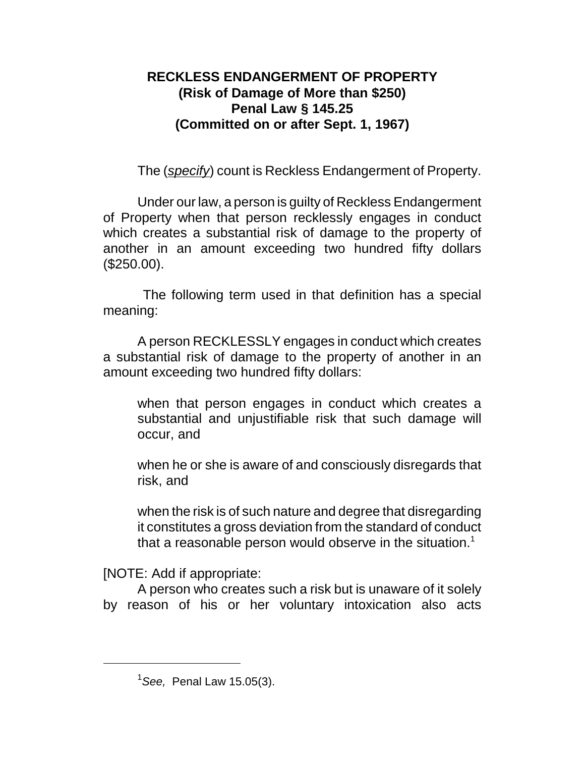## **RECKLESS ENDANGERMENT OF PROPERTY (Risk of Damage of More than \$250) Penal Law § 145.25 (Committed on or after Sept. 1, 1967)**

The (*specify*) count is Reckless Endangerment of Property.

Under our law, a person is guilty of Reckless Endangerment of Property when that person recklessly engages in conduct which creates a substantial risk of damage to the property of another in an amount exceeding two hundred fifty dollars (\$250.00).

 The following term used in that definition has a special meaning:

A person RECKLESSLY engages in conduct which creates a substantial risk of damage to the property of another in an amount exceeding two hundred fifty dollars:

when that person engages in conduct which creates a substantial and unjustifiable risk that such damage will occur, and

when he or she is aware of and consciously disregards that risk, and

when the risk is of such nature and degree that disregarding it constitutes a gross deviation from the standard of conduct that a reasonable person would observe in the situation.<sup>1</sup>

[NOTE: Add if appropriate:

A person who creates such a risk but is unaware of it solely by reason of his or her voluntary intoxication also acts

<sup>1</sup>*See,* Penal Law 15.05(3).